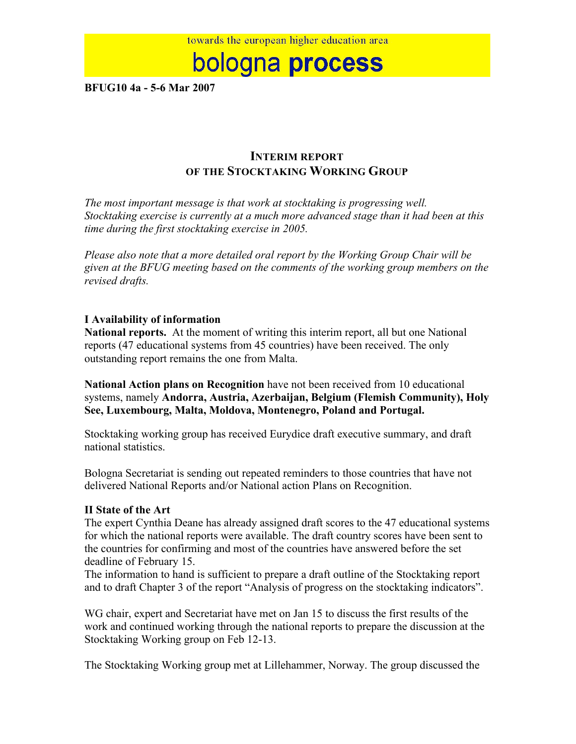# bologna process

**BFUG10 4a - 5-6 Mar 2007**

## **INTERIM REPORT OF THE STOCKTAKING WORKING GROUP**

*The most important message is that work at stocktaking is progressing well. Stocktaking exercise is currently at a much more advanced stage than it had been at this time during the first stocktaking exercise in 2005.*

*Please also note that a more detailed oral report by the Working Group Chair will be given at the BFUG meeting based on the comments of the working group members on the revised drafts.*

### **I Availability of information**

**National reports.** At the moment of writing this interim report, all but one National reports (47 educational systems from 45 countries) have been received. The only outstanding report remains the one from Malta.

**National Action plans on Recognition** have not been received from 10 educational systems, namely **Andorra, Austria, Azerbaijan, Belgium (Flemish Community), Holy See, Luxembourg, Malta, Moldova, Montenegro, Poland and Portugal.**

Stocktaking working group has received Eurydice draft executive summary, and draft national statistics.

Bologna Secretariat is sending out repeated reminders to those countries that have not delivered National Reports and/or National action Plans on Recognition.

### **II State of the Art**

The expert Cynthia Deane has already assigned draft scores to the 47 educational systems for which the national reports were available. The draft country scores have been sent to the countries for confirming and most of the countries have answered before the set deadline of February 15.

The information to hand is sufficient to prepare a draft outline of the Stocktaking report and to draft Chapter 3 of the report "Analysis of progress on the stocktaking indicators".

WG chair, expert and Secretariat have met on Jan 15 to discuss the first results of the work and continued working through the national reports to prepare the discussion at the Stocktaking Working group on Feb 12-13.

The Stocktaking Working group met at Lillehammer, Norway. The group discussed the